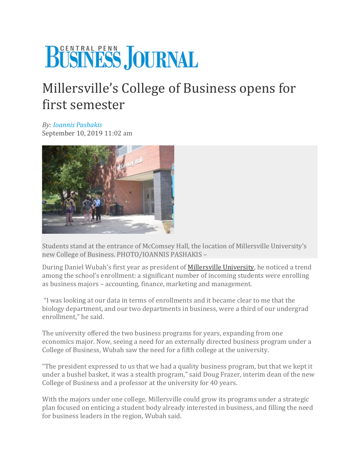## BÜSINESS JOURNAL

## Millersville's College of Business opens for first semester

*By: [Ioannis Pashakis](mailto:ipashakis@cpbj.com)*  September 10, 2019 11:02 am



Students stand at the entrance of McComsey Hall, the location of Millersville University's new College of Business. PHOTO/IOANNIS PASHAKIS –

During Daniel Wubah's first year as president of [Millersville University,](https://www.millersville.edu/) he noticed a trend among the school's enrollment: a significant number of incoming students were enrolling as business majors – accounting, finance, marketing and management.

"I was looking at our data in terms of enrollments and it became clear to me that the biology department, and our two departments in business, were a third of our undergrad enrollment," he said.

The university offered the two business programs for years, expanding from one economics major. Now, seeing a need for an externally directed business program under a College of Business, Wubah saw the need for a fifth college at the university.

"The president expressed to us that we had a quality business program, but that we kept it under a bushel basket, it was a stealth program," said Doug Frazer, interim dean of the new College of Business and a professor at the university for 40 years.

With the majors under one college, Millersville could grow its programs under a strategic plan focused on enticing a student body already interested in business, and filling the need for business leaders in the region, Wubah said.